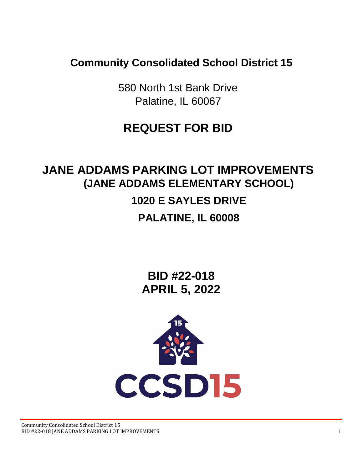**Community Consolidated School District 15**

580 North 1st Bank Drive Palatine, IL 60067

## **REQUEST FOR BID**

# **JANE ADDAMS PARKING LOT IMPROVEMENTS (JANE ADDAMS ELEMENTARY SCHOOL) 1020 E SAYLES DRIVE PALATINE, IL 60008**

**BID #22-018 APRIL 5, 2022**

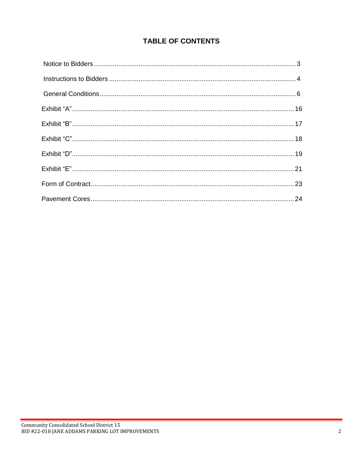### **TABLE OF CONTENTS**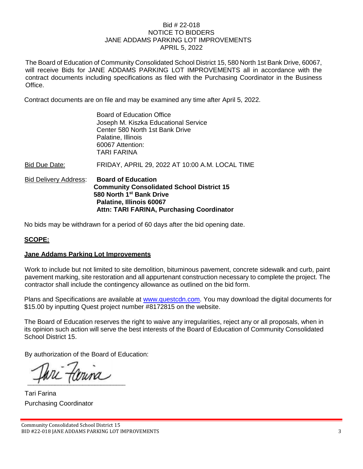#### Bid # 22-018 NOTICE TO BIDDERS JANE ADDAMS PARKING LOT IMPROVEMENTS APRIL 5, 2022

The Board of Education of Community Consolidated School District 15, 580 North 1st Bank Drive, 60067, will receive Bids for JANE ADDAMS PARKING LOT IMPROVEMENTS all in accordance with the contract documents including specifications as filed with the Purchasing Coordinator in the Business Office.

Contract documents are on file and may be examined any time after April 5, 2022.

| <b>Bid Delivery Address:</b> | <b>Board of Education</b><br><b>Community Consolidated School District 15</b><br>580 North 1 <sup>st</sup> Bank Drive<br>Palatine, Illinois 60067<br>Attn: TARI FARINA, Purchasing Coordinator |
|------------------------------|------------------------------------------------------------------------------------------------------------------------------------------------------------------------------------------------|
| Bid Due Date:                | FRIDAY, APRIL 29, 2022 AT 10:00 A.M. LOCAL TIME                                                                                                                                                |
|                              | <b>Board of Education Office</b><br>Joseph M. Kiszka Educational Service<br>Center 580 North 1st Bank Drive<br>Palatine, Illinois<br>60067 Attention:<br><b>TARI FARINA</b>                    |

No bids may be withdrawn for a period of 60 days after the bid opening date.

#### **SCOPE:**

#### **Jane Addams Parking Lot Improvements**

Work to include but not limited to site demolition, bituminous pavement, concrete sidewalk and curb, paint pavement marking, site restoration and all appurtenant construction necessary to complete the project. The contractor shall include the contingency allowance as outlined on the bid form.

Plans and Specifications are available at [www.questcdn.com.](http://www.questcdn.com/) You may download the digital documents for \$15.00 by inputting Quest project number #8172815 on the website.

The Board of Education reserves the right to waive any irregularities, reject any or all proposals, when in its opinion such action will serve the best interests of the Board of Education of Community Consolidated School District 15.

By authorization of the Board of Education:

Couna

Tari Farina Purchasing Coordinator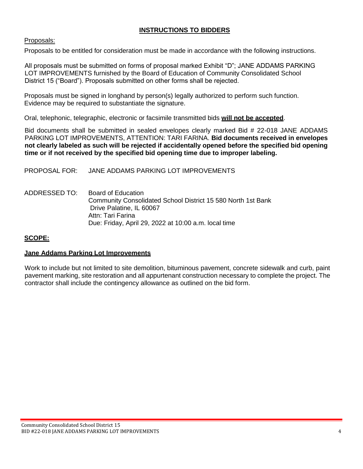#### **INSTRUCTIONS TO BIDDERS**

#### Proposals:

Proposals to be entitled for consideration must be made in accordance with the following instructions.

All proposals must be submitted on forms of proposal marked Exhibit "D"; JANE ADDAMS PARKING LOT IMPROVEMENTS furnished by the Board of Education of Community Consolidated School District 15 ("Board"). Proposals submitted on other forms shall be rejected.

Proposals must be signed in longhand by person(s) legally authorized to perform such function. Evidence may be required to substantiate the signature.

Oral, telephonic, telegraphic, electronic or facsimile transmitted bids **will not be accepted**.

Bid documents shall be submitted in sealed envelopes clearly marked Bid # 22-018 JANE ADDAMS PARKING LOT IMPROVEMENTS, ATTENTION: TARI FARINA. **Bid documents received in envelopes not clearly labeled as such will be rejected if accidentally opened before the specified bid opening time or if not received by the specified bid opening time due to improper labeling.**

PROPOSAL FOR: JANE ADDAMS PARKING LOT IMPROVEMENTS

ADDRESSED TO: Board of Education Community Consolidated School District 15 580 North 1st Bank Drive Palatine, IL 60067 Attn: Tari Farina Due: Friday, April 29, 2022 at 10:00 a.m. local time

#### **SCOPE:**

#### **Jane Addams Parking Lot Improvements**

Work to include but not limited to site demolition, bituminous pavement, concrete sidewalk and curb, paint pavement marking, site restoration and all appurtenant construction necessary to complete the project. The contractor shall include the contingency allowance as outlined on the bid form.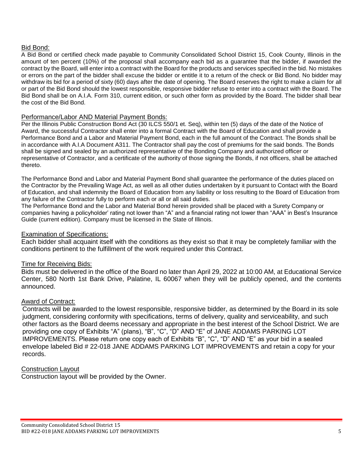#### Bid Bond:

A Bid Bond or certified check made payable to Community Consolidated School District 15, Cook County, Illinois in the amount of ten percent (10%) of the proposal shall accompany each bid as a guarantee that the bidder, if awarded the contract by the Board, will enter into a contract with the Board for the products and services specified in the bid. No mistakes or errors on the part of the bidder shall excuse the bidder or entitle it to a return of the check or Bid Bond. No bidder may withdraw its bid for a period of sixty (60) days after the date of opening. The Board reserves the right to make a claim for all or part of the Bid Bond should the lowest responsible, responsive bidder refuse to enter into a contract with the Board. The Bid Bond shall be on A.I.A. Form 310, current edition, or such other form as provided by the Board. The bidder shall bear the cost of the Bid Bond.

#### Performance/Labor AND Material Payment Bonds:

Per the Illinois Public Construction Bond Act (30 ILCS 550/1 et. Seq), within ten (5) days of the date of the Notice of Award, the successful Contractor shall enter into a formal Contract with the Board of Education and shall provide a Performance Bond and a Labor and Material Payment Bond, each in the full amount of the Contract. The Bonds shall be in accordance with A.I.A Document A311. The Contractor shall pay the cost of premiums for the said bonds. The Bonds shall be signed and sealed by an authorized representative of the Bonding Company and authorized officer or representative of Contractor, and a certificate of the authority of those signing the Bonds, if not officers, shall be attached thereto.

The Performance Bond and Labor and Material Payment Bond shall guarantee the performance of the duties placed on the Contractor by the Prevailing Wage Act, as well as all other duties undertaken by it pursuant to Contact with the Board of Education, and shall indemnity the Board of Education from any liability or loss resulting to the Board of Education from any failure of the Contractor fully to perform each or all or all said duties.

The Performance Bond and the Labor and Material Bond herein provided shall be placed with a Surety Company or companies having a policyholder' rating not lower than "A" and a financial rating not lower than "AAA" in Best's Insurance Guide (current edition). Company must be licensed in the State of Illinois.

#### Examination of Specifications:

Each bidder shall acquaint itself with the conditions as they exist so that it may be completely familiar with the conditions pertinent to the fulfillment of the work required under this Contract.

#### Time for Receiving Bids:

Bids must be delivered in the office of the Board no later than April 29, 2022 at 10:00 AM, at Educational Service Center, 580 North 1st Bank Drive, Palatine, IL 60067 when they will be publicly opened, and the contents announced.

#### Award of Contract:

Contracts will be awarded to the lowest responsible, responsive bidder, as determined by the Board in its sole judgment, considering conformity with specifications, terms of delivery, quality and serviceability, and such other factors as the Board deems necessary and appropriate in the best interest of the School District. We are providing one copy of Exhibits "A" (plans), "B", "C", "D" AND "E" of JANE ADDAMS PARKING LOT IMPROVEMENTS. Please return one copy each of Exhibits "B", "C", "D" AND "E" as your bid in a sealed envelope labeled Bid # 22-018 JANE ADDAMS PARKING LOT IMPROVEMENTS and retain a copy for your records.

#### Construction Layout

Construction layout will be provided by the Owner.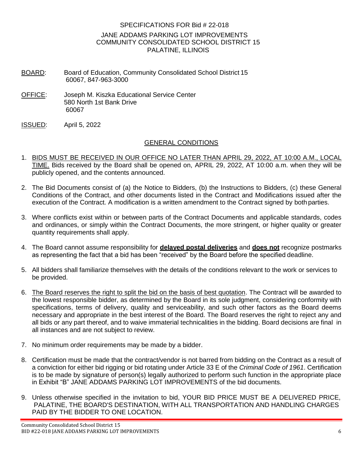#### SPECIFICATIONS FOR Bid # 22-018 JANE ADDAMS PARKING LOT IMPROVEMENTS COMMUNITY CONSOLIDATED SCHOOL DISTRICT 15 PALATINE, ILLINOIS

- BOARD: Board of Education, Community Consolidated School District 15 60067, 847-963-3000
- OFFICE: Joseph M. Kiszka Educational Service Center 580 North 1st Bank Drive 60067
- ISSUED: April 5, 2022

#### GENERAL CONDITIONS

- 1. BIDS MUST BE RECEIVED IN OUR OFFICE NO LATER THAN APRIL 29, 2022, AT 10:00 A.M., LOCAL TIME. Bids received by the Board shall be opened on, APRIL 29, 2022, AT 10:00 a.m. when they will be publicly opened, and the contents announced.
- 2. The Bid Documents consist of (a) the Notice to Bidders, (b) the Instructions to Bidders, (c) these General Conditions of the Contract, and other documents listed in the Contract and Modifications issued after the execution of the Contract. A modification is a written amendment to the Contract signed by both parties.
- 3. Where conflicts exist within or between parts of the Contract Documents and applicable standards, codes and ordinances, or simply within the Contract Documents, the more stringent, or higher quality or greater quantity requirements shall apply.
- 4. The Board cannot assume responsibility for **delayed postal deliveries** and **does not** recognize postmarks as representing the fact that a bid has been "received" by the Board before the specified deadline.
- 5. All bidders shall familiarize themselves with the details of the conditions relevant to the work or services to be provided.
- 6. The Board reserves the right to split the bid on the basis of best quotation. The Contract will be awarded to the lowest responsible bidder, as determined by the Board in its sole judgment, considering conformity with specifications, terms of delivery, quality and serviceability, and such other factors as the Board deems necessary and appropriate in the best interest of the Board. The Board reserves the right to reject any and all bids or any part thereof, and to waive immaterial technicalities in the bidding. Board decisions are final in all instances and are not subject to review.
- 7. No minimum order requirements may be made by a bidder.
- 8. Certification must be made that the contract/vendor is not barred from bidding on the Contract as a result of a conviction for either bid rigging or bid rotating under Article 33 E of the *Criminal Code of 1961*. Certification is to be made by signature of person(s) legally authorized to perform such function in the appropriate place in Exhibit "B" JANE ADDAMS PARKING LOT IMPROVEMENTS of the bid documents.
- 9. Unless otherwise specified in the invitation to bid, YOUR BID PRICE MUST BE A DELIVERED PRICE, PALATINE, THE BOARD'S DESTINATION, WITH ALL TRANSPORTATION AND HANDLING CHARGES PAID BY THE BIDDER TO ONE LOCATION.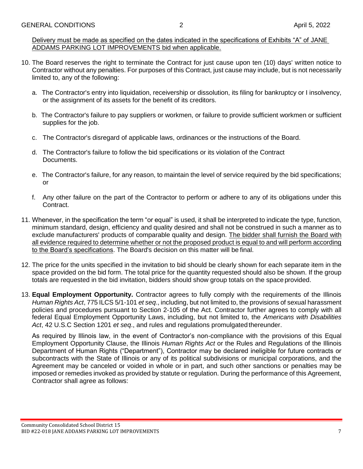Delivery must be made as specified on the dates indicated in the specifications of Exhibits "A" of JANE ADDAMS PARKING LOT IMPROVEMENTS bid when applicable.

- 10. The Board reserves the right to terminate the Contract for just cause upon ten (10) days' written notice to Contractor without any penalties. For purposes of this Contract, just cause may include, but is not necessarily limited to, any of the following:
	- a. The Contractor's entry into liquidation, receivership or dissolution, its filing for bankruptcy or I insolvency, or the assignment of its assets for the benefit of its creditors.
	- b. The Contractor's failure to pay suppliers or workmen, or failure to provide sufficient workmen or sufficient supplies for the job.
	- c. The Contractor's disregard of applicable laws, ordinances or the instructions of the Board.
	- d. The Contractor's failure to follow the bid specifications or its violation of the Contract Documents.
	- e. The Contractor's failure, for any reason, to maintain the level of service required by the bid specifications; or
	- f. Any other failure on the part of the Contractor to perform or adhere to any of its obligations under this Contract.
- 11. Whenever, in the specification the term "or equal" is used, it shall be interpreted to indicate the type, function, minimum standard, design, efficiency and quality desired and shall not be construed in such a manner as to exclude manufacturers' products of comparable quality and design. The bidder shall furnish the Board with all evidence required to determine whether or not the proposed product is equal to and will perform according to the Board's specifications. The Board's decision on this matter will be final.
- 12. The price for the units specified in the invitation to bid should be clearly shown for each separate item in the space provided on the bid form. The total price for the quantity requested should also be shown. If the group totals are requested in the bid invitation, bidders should show group totals on the space provided.
- 13. **Equal Employment Opportunity.** Contractor agrees to fully comply with the requirements of the Illinois *Human Rights Act*, 775 ILCS 5/1-101 *et seq*., including, but not limited to, the provisions of sexual harassment policies and procedures pursuant to Section 2-105 of the Act. Contractor further agrees to comply with all federal Equal Employment Opportunity Laws, including, but not limited to, the *Americans with Disabilities Act*, 42 U.S.C Section 1201 *et seq*., and rules and regulations promulgated thereunder.

As required by Illinois law, in the event of Contractor's non-compliance with the provisions of this Equal Employment Opportunity Clause, the Illinois *Human Rights Act* or the Rules and Regulations of the Illinois Department of Human Rights ("Department"), Contractor may be declared ineligible for future contracts or subcontracts with the State of Illinois or any of its political subdivisions or municipal corporations, and the Agreement may be canceled or voided in whole or in part, and such other sanctions or penalties may be imposed or remedies invoked as provided by statute or regulation. During the performance of this Agreement, Contractor shall agree as follows: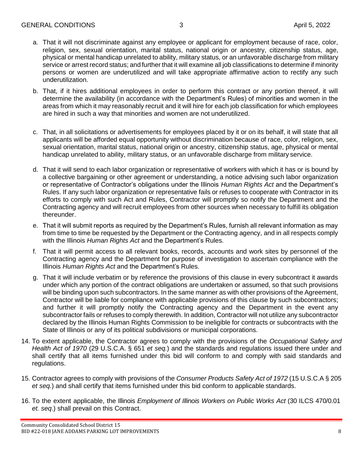- a. That it will not discriminate against any employee or applicant for employment because of race, color, religion, sex, sexual orientation, marital status, national origin or ancestry, citizenship status, age, physical or mental handicap unrelated to ability, military status, or an unfavorable discharge from military service or arrest record status; and further that it will examine all job classifications to determine if minority persons or women are underutilized and will take appropriate affirmative action to rectify any such underutilization.
- b. That, if it hires additional employees in order to perform this contract or any portion thereof, it will determine the availability (in accordance with the Department's Rules) of minorities and women in the areas from which it may reasonably recruit and it will hire for each job classification for which employees are hired in such a way that minorities and women are not underutilized.
- c. That, in all solicitations or advertisements for employees placed by it or on its behalf, it will state that all applicants will be afforded equal opportunity without discrimination because of race, color, religion, sex, sexual orientation, marital status, national origin or ancestry, citizenship status, age, physical or mental handicap unrelated to ability, military status, or an unfavorable discharge from military service.
- d. That it will send to each labor organization or representative of workers with which it has or is bound by a collective bargaining or other agreement or understanding, a notice advising such labor organization or representative of Contractor's obligations under the Illinois *Human Rights Act* and the Department's Rules. If any such labor organization or representative fails or refuses to cooperate with Contractor in its efforts to comply with such Act and Rules, Contractor will promptly so notify the Department and the Contracting agency and will recruit employees from other sources when necessary to fulfill its obligation thereunder.
- e. That it will submit reports as required by the Department's Rules, furnish all relevant information as may from time to time be requested by the Department or the Contracting agency, and in all respects comply with the Illinois *Human Rights Act* and the Department's Rules.
- f. That it will permit access to all relevant books, records, accounts and work sites by personnel of the Contracting agency and the Department for purpose of investigation to ascertain compliance with the Illinois *Human Rights Act* and the Department's Rules.
- g. That it will include verbatim or by reference the provisions of this clause in every subcontract it awards under which any portion of the contract obligations are undertaken or assumed, so that such provisions will be binding upon such subcontractors. In the same manner as with other provisions of the Agreement, Contractor will be liable for compliance with applicable provisions of this clause by such subcontractors; and further it will promptly notify the Contracting agency and the Department in the event any subcontractor fails or refuses to comply therewith. In addition, Contractor will not utilize any subcontractor declared by the Illinois Human Rights Commission to be ineligible for contracts or subcontracts with the State of Illinois or any of its political subdivisions or municipal corporations.
- 14. To extent applicable, the Contractor agrees to comply with the provisions of the *Occupational Safety and Health Act of 1970* (29 U.S.C.A. § 651 *et seq.*) and the standards and regulations issued there under and shall certify that all items furnished under this bid will conform to and comply with said standards and regulations.
- 15. Contractor agrees to comply with provisions of the *Consumer Products Safety Act of 1972* (15 U.S.C.A § 205 *et seq.*) and shall certify that items furnished under this bid conform to applicable standards.
- 16. To the extent applicable, the Illinois *Employment of Illinois Workers on Public Works Act* (30 ILCS 470/0.01 *et. seq*.) shall prevail on this Contract.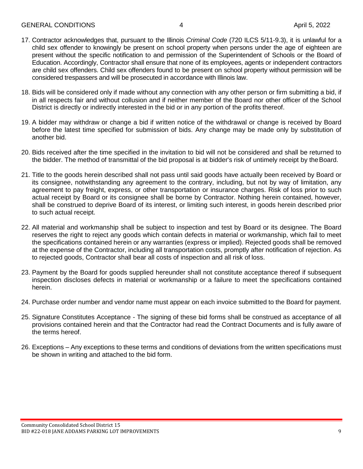- 17. Contractor acknowledges that, pursuant to the Illinois *Criminal Code* (720 ILCS 5/11-9.3), it is unlawful for a child sex offender to knowingly be present on school property when persons under the age of eighteen are present without the specific notification to and permission of the Superintendent of Schools or the Board of Education. Accordingly, Contractor shall ensure that none of its employees, agents or independent contractors are child sex offenders. Child sex offenders found to be present on school property without permission will be considered trespassers and will be prosecuted in accordance with Illinois law.
- 18. Bids will be considered only if made without any connection with any other person or firm submitting a bid, if in all respects fair and without collusion and if neither member of the Board nor other officer of the School District is directly or indirectly interested in the bid or in any portion of the profits thereof.
- 19. A bidder may withdraw or change a bid if written notice of the withdrawal or change is received by Board before the latest time specified for submission of bids. Any change may be made only by substitution of another bid.
- 20. Bids received after the time specified in the invitation to bid will not be considered and shall be returned to the bidder. The method of transmittal of the bid proposal is at bidder's risk of untimely receipt by theBoard.
- 21. Title to the goods herein described shall not pass until said goods have actually been received by Board or its consignee, notwithstanding any agreement to the contrary, including, but not by way of limitation, any agreement to pay freight, express, or other transportation or insurance charges. Risk of loss prior to such actual receipt by Board or its consignee shall be borne by Contractor. Nothing herein contained, however, shall be construed to deprive Board of its interest, or limiting such interest, in goods herein described prior to such actual receipt.
- 22. All material and workmanship shall be subject to inspection and test by Board or its designee. The Board reserves the right to reject any goods which contain defects in material or workmanship, which fail to meet the specifications contained herein or any warranties (express or implied). Rejected goods shall be removed at the expense of the Contractor, including all transportation costs, promptly after notification of rejection. As to rejected goods, Contractor shall bear all costs of inspection and all risk of loss.
- 23. Payment by the Board for goods supplied hereunder shall not constitute acceptance thereof if subsequent inspection discloses defects in material or workmanship or a failure to meet the specifications contained herein.
- 24. Purchase order number and vendor name must appear on each invoice submitted to the Board for payment.
- 25. Signature Constitutes Acceptance The signing of these bid forms shall be construed as acceptance of all provisions contained herein and that the Contractor had read the Contract Documents and is fully aware of the terms hereof.
- 26. Exceptions Any exceptions to these terms and conditions of deviations from the written specifications must be shown in writing and attached to the bid form.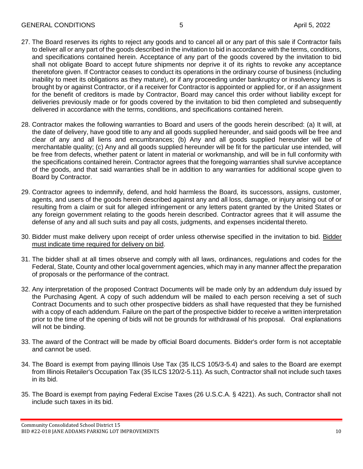- 27. The Board reserves its rights to reject any goods and to cancel all or any part of this sale if Contractor fails to deliver all or any part of the goods described in the invitation to bid in accordance with the terms, conditions, and specifications contained herein. Acceptance of any part of the goods covered by the invitation to bid shall not obligate Board to accept future shipments nor deprive it of its rights to revoke any acceptance theretofore given. If Contractor ceases to conduct its operations in the ordinary course of business (including inability to meet its obligations as they mature), or if any proceeding under bankruptcy or insolvency laws is brought by or against Contractor, or if a receiver for Contractor is appointed or applied for, or if an assignment for the benefit of creditors is made by Contractor, Board may cancel this order without liability except for deliveries previously made or for goods covered by the invitation to bid then completed and subsequently delivered in accordance with the terms, conditions, and specifications contained herein.
- 28. Contractor makes the following warranties to Board and users of the goods herein described: (a) It will, at the date of delivery, have good title to any and all goods supplied hereunder, and said goods will be free and clear of any and all liens and encumbrances; (b) Any and all goods supplied hereunder will be of merchantable quality; (c) Any and all goods supplied hereunder will be fit for the particular use intended, will be free from defects, whether patent or latent in material or workmanship, and will be in full conformity with the specifications contained herein. Contractor agrees that the foregoing warranties shall survive acceptance of the goods, and that said warranties shall be in addition to any warranties for additional scope given to Board by Contractor.
- 29. Contractor agrees to indemnify, defend, and hold harmless the Board, its successors, assigns, customer, agents, and users of the goods herein described against any and all loss, damage, or injury arising out of or resulting from a claim or suit for alleged infringement or any letters patent granted by the United States or any foreign government relating to the goods herein described. Contractor agrees that it will assume the defense of any and all such suits and pay all costs, judgments, and expenses incidental thereto.
- 30. Bidder must make delivery upon receipt of order unless otherwise specified in the invitation to bid. Bidder must indicate time required for delivery on bid.
- 31. The bidder shall at all times observe and comply with all laws, ordinances, regulations and codes for the Federal, State, County and other local government agencies, which may in any manner affect the preparation of proposals or the performance of the contract.
- 32. Any interpretation of the proposed Contract Documents will be made only by an addendum duly issued by the Purchasing Agent. A copy of such addendum will be mailed to each person receiving a set of such Contract Documents and to such other prospective bidders as shall have requested that they be furnished with a copy of each addendum. Failure on the part of the prospective bidder to receive a written interpretation prior to the time of the opening of bids will not be grounds for withdrawal of his proposal. Oral explanations will not be binding.
- 33. The award of the Contract will be made by official Board documents. Bidder's order form is not acceptable and cannot be used.
- 34. The Board is exempt from paying Illinois Use Tax (35 ILCS 105/3-5.4) and sales to the Board are exempt from Illinois Retailer's Occupation Tax (35 ILCS 120/2-5.11). As such, Contractor shall not include such taxes in its bid.
- 35. The Board is exempt from paying Federal Excise Taxes (26 U.S.C.A. § 4221). As such, Contractor shall not include such taxes in its bid.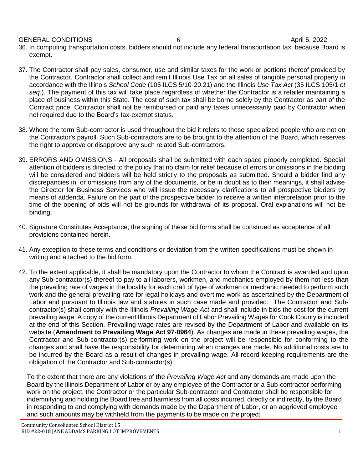GENERAL CONDITIONS 6 April 5, 2022

- 36. In computing transportation costs, bidders should not include any federal transportation tax, because Board is exempt.
- 37. The Contractor shall pay sales, consumer, use and similar taxes for the work or portions thereof provided by the Contractor. Contractor shall collect and remit Illinois Use Tax on all sales of tangible personal property in accordance with the Illinois *School Code* (105 ILCS 5/10-20.21) and the Illinois *Use Tax Act* (35 ILCS 105/1 *et seq*.). The payment of this tax will take place regardless of whether the Contractor is a retailer maintaining a place of business within this State. The cost of such tax shall be borne solely by the Contractor as part of the Contract price. Contractor shall not be reimbursed or paid any taxes unnecessarily paid by Contractor when not required due to the Board's tax-exempt status.
- 38. Where the term Sub-contractor is used throughout the bid it refers to those specialized people who are not on the Contractor's payroll. Such Sub-contractors are to be brought to the attention of the Board, which reserves the right to approve or disapprove any such related Sub-contractors.
- 39. ERRORS AND OMISSIONS All proposals shall be submitted with each space properly completed. Special attention of bidders is directed to the policy that no claim for relief because of errors or omissions in the bidding will be considered and bidders will be held strictly to the proposals as submitted. Should a bidder find any discrepancies in, or omissions from any of the documents, or be in doubt as to their meanings, it shall advise the Director for Business Services who will issue the necessary clarifications to all prospective bidders by means of addenda. Failure on the part of the prospective bidder to receive a written interpretation prior to the time of the opening of bids will not be grounds for withdrawal of its proposal. Oral explanations will not be binding.
- 40. Signature Constitutes Acceptance; the signing of these bid forms shall be construed as acceptance of all provisions contained herein.
- 41. Any exception to these terms and conditions or deviation from the written specifications must be shown in writing and attached to the bid form.
- 42. To the extent applicable, it shall be mandatory upon the Contractor to whom the Contract is awarded and upon any Sub-contractor(s) thereof to pay to all laborers, workmen, and mechanics employed by them not less than the prevailing rate of wages in the locality for each craft of type of workmen or mechanic needed to perform such work and the general prevailing rate for legal holidays and overtime work as ascertained by the Department of Labor and pursuant to Illinois law and statutes in such case made and provided. The Contractor and Subcontractor(s) shall comply with the Illinois *Prevailing Wage Act* and shall include in bids the cost for the current prevailing wage. A copy of the current Illinois Department of Labor Prevailing Wages for Cook County is included at the end of this Section. Prevailing wage rates are revised by the Department of Labor and available on its website (**Amendment to Prevailing Wage Act 97-0964**). As changes are made in these prevailing wages, the Contractor and Sub-contractor(s) performing work on the project will be responsible for conforming to the changes and shall have the responsibility for determining when changes are made. No additional costs are to be incurred by the Board as a result of changes in prevailing wage. All record keeping requirements are the obligation of the Contractor and Sub-contractor(s).

To the extent that there are any violations of the *Prevailing Wage Act* and any demands are made upon the Board by the Illinois Department of Labor or by any employee of the Contractor or a Sub-contractor performing work on the project, the Contractor or the particular Sub-contractor and Contractor shall be responsible for indemnifying and holding the Board free and harmless from all costs incurred, directly or indirectly, by the Board in responding to and complying with demands made by the Department of Labor, or an aggrieved employee and such amounts may be withheld from the payments to be made on the project.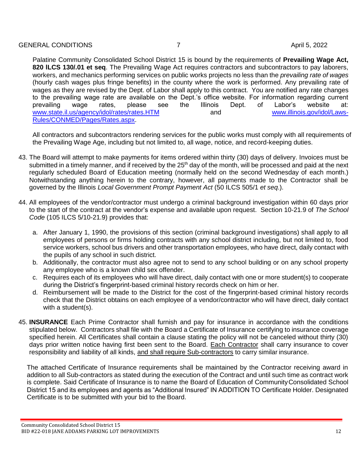Palatine Community Consolidated School District 15 is bound by the requirements of **Prevailing Wage Act, 820 lLCS 130/.01 et seq**. The Prevailing Wage Act requires contractors and subcontractors to pay laborers, workers, and mechanics performing services on public works projects no less than the *prevailing rate of wages*  (hourly cash wages plus fringe benefits) in the county where the work is performed. Any prevailing rate of wages as they are revised by the Dept. of Labor shall apply to this contract. You are notified any rate changes to the prevailing wage rate are available on the Dept.'s office website. For information regarding current to b<br>prevailing wage rates, please see the Illinois Dept. of Labor's website at: prevailing wage rates, please see the Illinois Dept. of Labor's website at: [www.state.il.us/agency/idol/rates/rates.HTM](http://www.state.il.us/agency/idol/rates/rates.HTM) and and [www.illinois.gov/idol/Laws-](http://www.illinois.gov/idol/Laws-)[Rules/CONMED/Pages/Rates.aspx.](http://www.illinois.gov/idol/Laws-Rules/CONMED/Pages/Rates.aspx)

All contractors and subcontractors rendering services for the public works must comply with all requirements of the Prevailing Wage Age, including but not limited to, all wage, notice, and record-keeping duties.

- 43. The Board will attempt to make payments for items ordered within thirty (30) days of delivery. Invoices must be submitted in a timely manner, and if received by the 25<sup>th</sup> day of the month, will be processed and paid at the next regularly scheduled Board of Education meeting (normally held on the second Wednesday of each month.) Notwithstanding anything herein to the contrary, however, all payments made to the Contractor shall be governed by the Illinois *Local Government Prompt Payment Act* (50 ILCS 505/1 *et seq*.).
- 44. All employees of the vendor/contractor must undergo a criminal background investigation within 60 days prior to the start of the contract at the vendor's expense and available upon request. Section 10-21.9 of *The School Code* (105 ILCS 5/10-21.9) provides that:
	- a. After January 1, 1990, the provisions of this section (criminal background investigations) shall apply to all employees of persons or firms holding contracts with any school district including, but not limited to, food service workers, school bus drivers and other transportation employees, who have direct, daily contact with the pupils of any school in such district.
	- b. Additionally, the contractor must also agree not to send to any school building or on any school property any employee who is a known child sex offender.
	- c. Requires each of its employees who will have direct, daily contact with one or more student(s) to cooperate during the District's fingerprint-based criminal history records check on him or her.
	- d. Reimbursement will be made to the District for the cost of the fingerprint-based criminal history records check that the District obtains on each employee of a vendor/contractor who will have direct, daily contact with a student(s).
- 45. **INSURANCE** Each Prime Contractor shall furnish and pay for insurance in accordance with the conditions stipulated below. Contractors shall file with the Board a Certificate of Insurance certifying to insurance coverage specified herein. All Certificates shall contain a clause stating the policy will not be canceled without thirty (30) days prior written notice having first been sent to the Board. Each Contractor shall carry insurance to cover responsibility and liability of all kinds, and shall require Sub-contractors to carry similar insurance.

The attached Certificate of Insurance requirements shall be maintained by the Contractor receiving award in addition to all Sub-contractors as stated during the execution of the Contract and until such time as contract work is complete. Said Certificate of Insurance is to name the Board of Education of CommunityConsolidated School District 15 and its employees and agents as "Additional Insured" IN ADDITION TO Certificate Holder. Designated Certificate is to be submitted with your bid to the Board.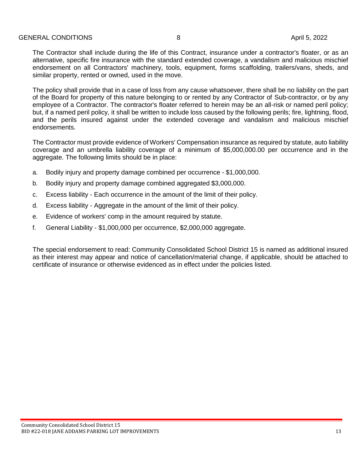The Contractor shall include during the life of this Contract, insurance under a contractor's floater, or as an alternative, specific fire insurance with the standard extended coverage, a vandalism and malicious mischief endorsement on all Contractors' machinery, tools, equipment, forms scaffolding, trailers/vans, sheds, and similar property, rented or owned, used in the move.

The policy shall provide that in a case of loss from any cause whatsoever, there shall be no liability on the part of the Board for property of this nature belonging to or rented by any Contractor of Sub-contractor, or by any employee of a Contractor. The contractor's floater referred to herein may be an all-risk or named peril policy; but, if a named peril policy, it shall be written to include loss caused by the following perils; fire, lightning, flood, and the perils insured against under the extended coverage and vandalism and malicious mischief endorsements.

The Contractor must provide evidence of Workers' Compensation insurance as required by statute, auto liability coverage and an umbrella liability coverage of a minimum of \$5,000,000.00 per occurrence and in the aggregate. The following limits should be in place:

- a. Bodily injury and property damage combined per occurrence \$1,000,000.
- b. Bodily injury and property damage combined aggregated \$3,000,000.
- c. Excess liability Each occurrence in the amount of the limit of their policy.
- d. Excess liability Aggregate in the amount of the limit of their policy.
- e. Evidence of workers' comp in the amount required by statute.
- f. General Liability \$1,000,000 per occurrence, \$2,000,000 aggregate.

The special endorsement to read: Community Consolidated School District 15 is named as additional insured as their interest may appear and notice of cancellation/material change, if applicable, should be attached to certificate of insurance or otherwise evidenced as in effect under the policies listed.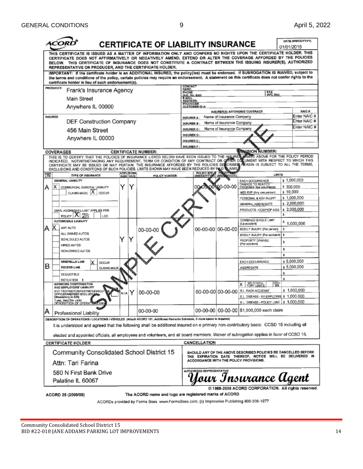| וראי                                                                                                                                                                    |                                                                                                                                                                                                                                                                                                                                                                                                                                                                                                    |     |                  | CERTIFICATE OF LIABILITY INSURANCE |                                                |                                  |                                                        |                                                                 | 01/01/2015 | DATE (MM/DD/YYYY)            |
|-------------------------------------------------------------------------------------------------------------------------------------------------------------------------|----------------------------------------------------------------------------------------------------------------------------------------------------------------------------------------------------------------------------------------------------------------------------------------------------------------------------------------------------------------------------------------------------------------------------------------------------------------------------------------------------|-----|------------------|------------------------------------|------------------------------------------------|----------------------------------|--------------------------------------------------------|-----------------------------------------------------------------|------------|------------------------------|
|                                                                                                                                                                         | THIS CERTIFICATE IS ISSUED AS A MATTER OF INFORMATION ONLY AND CONFERS NO RIGHTS UPON THE CERTIFICATE HOLDER. THIS<br>CERTIFICATE DOES NOT AFFIRMATIVELY OR NEGATIVELY AMEND, EXTEND OR ALTER THE COVERAGE AFFORDED BY THE POLICIES<br>BELOW. THIS CERTIFICATE OF INSURANCE DOES NOT CONSTITUTE A CONTRACT BETWEEN THE ISSUING INSURER(S), AUTHORIZED<br>REPRESENTATIVE OR PRODUCER, AND THE CERTIFICATE HOLDER.                                                                                   |     |                  |                                    |                                                |                                  |                                                        |                                                                 |            |                              |
|                                                                                                                                                                         | IMPORTANT: If the certificate holder is an ADDITIONAL INSURED, the policy(ies) must be endorsed. If SUBROGATION IS WAIVED, subject to<br>the terms and conditions of the policy, certain policies may require an endorsement. A statement on this certificate does not confer rights to the<br>certificate holder in lieu of such endorsement(s).                                                                                                                                                  |     |                  |                                    |                                                |                                  |                                                        |                                                                 |            |                              |
| PRODUCER                                                                                                                                                                | Frank's Insurance Agency                                                                                                                                                                                                                                                                                                                                                                                                                                                                           |     |                  |                                    | CONTACT<br>NAME:                               |                                  |                                                        |                                                                 |            |                              |
|                                                                                                                                                                         | Main Street                                                                                                                                                                                                                                                                                                                                                                                                                                                                                        |     |                  |                                    | PHONE<br>(A/C, No. Ext);<br>E-MAIL<br>ADDRESS: |                                  |                                                        | FAX<br>(AC, Ne):                                                |            |                              |
|                                                                                                                                                                         | Anywhere IL 00000                                                                                                                                                                                                                                                                                                                                                                                                                                                                                  |     |                  |                                    | <b>PRODUCER</b>                                | <b>CUSTOMER ID #:</b>            |                                                        |                                                                 |            |                              |
|                                                                                                                                                                         |                                                                                                                                                                                                                                                                                                                                                                                                                                                                                                    |     |                  |                                    |                                                |                                  |                                                        | INSURER(S) AFFORDING COVERAGE                                   |            | NAIC #                       |
| <b>INSURED</b>                                                                                                                                                          | DEF Construction Company                                                                                                                                                                                                                                                                                                                                                                                                                                                                           |     |                  |                                    | <b>INSURER A:</b><br>INSURER B:                |                                  | Name of Insurance Company<br>Name of Insurance Company |                                                                 |            | Enter NAIC #<br>Enter NAIC # |
|                                                                                                                                                                         | 456 Main Street                                                                                                                                                                                                                                                                                                                                                                                                                                                                                    |     |                  |                                    | <b>INSURER C:</b>                              |                                  | Name of Insurance Company                              |                                                                 |            | Enter NAIC #                 |
|                                                                                                                                                                         |                                                                                                                                                                                                                                                                                                                                                                                                                                                                                                    |     |                  |                                    | INSURER D:                                     |                                  |                                                        |                                                                 |            |                              |
|                                                                                                                                                                         | Anywhere IL 00000                                                                                                                                                                                                                                                                                                                                                                                                                                                                                  |     |                  |                                    | INSURER E:                                     |                                  |                                                        |                                                                 |            |                              |
|                                                                                                                                                                         |                                                                                                                                                                                                                                                                                                                                                                                                                                                                                                    |     |                  |                                    | <b>INSURER F:</b>                              |                                  |                                                        |                                                                 |            |                              |
| COVERAGES                                                                                                                                                               |                                                                                                                                                                                                                                                                                                                                                                                                                                                                                                    |     |                  | <b>CERTIFICATE NUMBER:</b>         |                                                |                                  |                                                        | <b><i>REMISION NUMBER:</i></b>                                  |            |                              |
|                                                                                                                                                                         | THIS IS TO CERTIFY THAT THE POLICIES OF INSURANCE LISTED BELOW HAVE BEEN ISSUED TO THE INSURED WANTED ABOVE FOR THE POLICY PERIOD<br>INDICATED. NOTWITHSTANDING ANY REQUIREMENT, TERM OR CONDITION OF ANY CONTRACT OR OFFIER DOLLUMENT WITH RESPECT TO WHICH THIS<br>CERTIFICATE MAY BE ISSUED OR MAY PERTAIN, THE INSURANCE AFFORDED BY THE POLICIES DESCRIBER PEREIN IS SUBJECT TO ALL THE TERMS,<br>EXCLUSIONS AND CONDITIONS OF SUCH POLICIES. LIMITS SHOWN MAY HAVE BEEN REDUCED BY PAID LAMS |     | <b>ADDLISUBR</b> |                                    |                                                | <b>POLICY EFF</b>                | <b>INVESTIGATION</b>                                   |                                                                 |            |                              |
| <b>INSR</b><br>LTR                                                                                                                                                      | TYPE OF INSURANCE<br>GENERAL LIABILITY                                                                                                                                                                                                                                                                                                                                                                                                                                                             |     | INSR WVD         | POLICY NUMBER                      |                                                | <b>IMMODRATION</b>               |                                                        | <b>LIMITS</b>                                                   |            | s 1,000,000                  |
| X.                                                                                                                                                                      |                                                                                                                                                                                                                                                                                                                                                                                                                                                                                                    | Y   | Y                |                                    |                                                |                                  | 100-00-00                                              | EACH OCCURRENCE<br>DAMAGE TO RENTED<br>PREMISES (Ea coourrings) | \$100,000  |                              |
| А                                                                                                                                                                       | COMMERCIAL GENERAL LIABILITY<br>CLAIMS-MADE X OCCUR                                                                                                                                                                                                                                                                                                                                                                                                                                                |     |                  |                                    |                                                |                                  |                                                        | MED EXP (Any one person)                                        | \$10,000   |                              |
|                                                                                                                                                                         |                                                                                                                                                                                                                                                                                                                                                                                                                                                                                                    |     |                  |                                    |                                                |                                  |                                                        | PERSONAL & ADV INJURY                                           |            | \$1,000,000                  |
|                                                                                                                                                                         |                                                                                                                                                                                                                                                                                                                                                                                                                                                                                                    |     |                  |                                    |                                                |                                  |                                                        | GENERAL AGGREGATE                                               |            | \$2,000,000                  |
|                                                                                                                                                                         | GEN'L AGGREGATE LIMIT APPLIES PER:                                                                                                                                                                                                                                                                                                                                                                                                                                                                 |     |                  |                                    |                                                |                                  |                                                        | PRODUCTS - COMP/OP AGG                                          | s          | \$2,000,000                  |
|                                                                                                                                                                         | POLICY X<br>LCC.<br>AUTOMOBILE LIABILITY                                                                                                                                                                                                                                                                                                                                                                                                                                                           |     |                  |                                    |                                                |                                  |                                                        | <b>COMBINED SINGLE LIMIT</b>                                    |            |                              |
| А                                                                                                                                                                       | ANY AUTO                                                                                                                                                                                                                                                                                                                                                                                                                                                                                           |     |                  |                                    |                                                |                                  |                                                        | (Ea eccident)                                                   |            | \$1,000,000                  |
|                                                                                                                                                                         | ALL OWNED AUTOS                                                                                                                                                                                                                                                                                                                                                                                                                                                                                    |     |                  | 00-00-00                           |                                                | 00-00-00 00-00-00                |                                                        | BODILY INJURY (Per person)<br>BODILY INJURY (Par accident)      | 畬<br>s     |                              |
|                                                                                                                                                                         | SCHEDULED AUTOS                                                                                                                                                                                                                                                                                                                                                                                                                                                                                    | Y   |                  |                                    |                                                |                                  |                                                        | PROPERTY DAMAGE                                                 |            |                              |
|                                                                                                                                                                         | HIRED AUTOS                                                                                                                                                                                                                                                                                                                                                                                                                                                                                        |     |                  |                                    |                                                |                                  |                                                        | (Per and dent)                                                  | \$         |                              |
|                                                                                                                                                                         | NON-OWNED AUTOS                                                                                                                                                                                                                                                                                                                                                                                                                                                                                    |     |                  |                                    |                                                |                                  |                                                        |                                                                 | s          |                              |
|                                                                                                                                                                         |                                                                                                                                                                                                                                                                                                                                                                                                                                                                                                    |     |                  |                                    |                                                |                                  |                                                        |                                                                 | ŝ          |                              |
| в                                                                                                                                                                       | UMBRELLA LIAB<br><b>ODCLIR</b>                                                                                                                                                                                                                                                                                                                                                                                                                                                                     |     |                  |                                    |                                                |                                  |                                                        | <b>EACH OCCURRENCE</b>                                          |            | \$5,000,000                  |
|                                                                                                                                                                         | <b>EXCESS LIAB</b><br>CLAIMS-MADE                                                                                                                                                                                                                                                                                                                                                                                                                                                                  |     |                  |                                    |                                                |                                  |                                                        | AGGREGATE                                                       | \$         | \$5,000,000                  |
|                                                                                                                                                                         | DEDUCTIBLE                                                                                                                                                                                                                                                                                                                                                                                                                                                                                         |     |                  |                                    |                                                |                                  |                                                        |                                                                 | s.         |                              |
|                                                                                                                                                                         | <b>RETENTION \$</b><br>WORKERS COMPENSATION                                                                                                                                                                                                                                                                                                                                                                                                                                                        |     |                  |                                    |                                                |                                  |                                                        | 隭<br>WC STATU-<br>TORY LIMITS<br>ΧI                             |            |                              |
|                                                                                                                                                                         | AND EMPLOYERS' LIABILITY<br>ANY PROPRIETOR/PARTNER/EXECUTOLE                                                                                                                                                                                                                                                                                                                                                                                                                                       |     |                  | 00-00-00                           |                                                |                                  | 00-00-00 00-00-00                                      | <b>E.L. EACH ACCIDENT</b>                                       |            | \$1,000,000                  |
|                                                                                                                                                                         | OFFICER/MEMBER EXCLUDE 200<br>(Mandatory in NH)                                                                                                                                                                                                                                                                                                                                                                                                                                                    | N/A | Y                |                                    |                                                |                                  |                                                        | E.L. DISEASE - EA EMPLOYEE \$ 1,000,000                         |            |                              |
| ves destr                                                                                                                                                               | îbe unde<br>DESCRIPTION OF OPERATIONS below                                                                                                                                                                                                                                                                                                                                                                                                                                                        |     |                  |                                    |                                                |                                  |                                                        | EL DISEASE - POLICY LIMIT   \$ 1,000,000                        |            |                              |
| A                                                                                                                                                                       | Professional Liability                                                                                                                                                                                                                                                                                                                                                                                                                                                                             |     |                  | 00-00-00                           |                                                |                                  |                                                        | 00-00-00   00-00-00   \$1,000,000 each claim                    |            |                              |
|                                                                                                                                                                         |                                                                                                                                                                                                                                                                                                                                                                                                                                                                                                    |     |                  |                                    |                                                |                                  |                                                        |                                                                 |            |                              |
|                                                                                                                                                                         | DESCRIPTION OF CPERATIONS/LOCATIONS/VEHICLES (Aftach ACORD 101, Additional Remarks Schedule, if more space is required)<br>It is understood and agreed that the following shall be additional insured on a primary non-contributory basis: CCSD 15 including all                                                                                                                                                                                                                                   |     |                  |                                    |                                                |                                  |                                                        |                                                                 |            |                              |
|                                                                                                                                                                         |                                                                                                                                                                                                                                                                                                                                                                                                                                                                                                    |     |                  |                                    |                                                |                                  |                                                        |                                                                 |            |                              |
|                                                                                                                                                                         | elected and appointed officials, all employees and volunteers, and all board members. Waiver of subrogation applies in favor of CCSD 15.                                                                                                                                                                                                                                                                                                                                                           |     |                  |                                    |                                                |                                  |                                                        |                                                                 |            |                              |
|                                                                                                                                                                         | <b>CERTIFICATE HOLDER</b>                                                                                                                                                                                                                                                                                                                                                                                                                                                                          |     |                  |                                    |                                                | CANCELLATION                     |                                                        |                                                                 |            |                              |
| Community Consolidated School District 15<br>SHOULD ANY OF THE ABOVE DESCRIBED POLICIES BE CANCELLED BEFORE<br>THE EXPIRATION DATE THEREOF, NOTICE WILL BE DELIVERED IN |                                                                                                                                                                                                                                                                                                                                                                                                                                                                                                    |     |                  |                                    |                                                |                                  |                                                        |                                                                 |            |                              |
| ACCORDANCE WITH THE POLICY PROVISIONS.<br>Attn: Tari Farina                                                                                                             |                                                                                                                                                                                                                                                                                                                                                                                                                                                                                                    |     |                  |                                    |                                                |                                  |                                                        |                                                                 |            |                              |
|                                                                                                                                                                         | 580 N First Bank Drive                                                                                                                                                                                                                                                                                                                                                                                                                                                                             |     |                  |                                    |                                                | <b>AUTHORIZED REPRESENTATIVE</b> |                                                        |                                                                 |            |                              |
|                                                                                                                                                                         | Palatine IL 60067                                                                                                                                                                                                                                                                                                                                                                                                                                                                                  |     |                  |                                    |                                                |                                  |                                                        | Your Insurance Ugent                                            |            |                              |
|                                                                                                                                                                         |                                                                                                                                                                                                                                                                                                                                                                                                                                                                                                    |     |                  |                                    |                                                |                                  |                                                        | @ 1988-2009 ACORD CORPORATION. All rights reserved.             |            |                              |

ACORD 25 (2009/09)

The ACORD name and logo are registered marks of ACORD

ACORDs provided by Forms Boss. www.FormsBoss.com; (c) Impressive Publishing 800-208-1977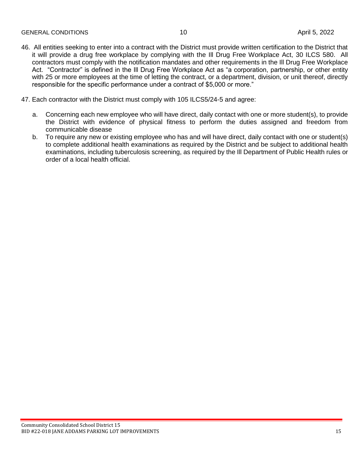- 46. All entities seeking to enter into a contract with the District must provide written certification to the District that it will provide a drug free workplace by complying with the Ill Drug Free Workplace Act, 30 ILCS 580. All contractors must comply with the notification mandates and other requirements in the Ill Drug Free Workplace Act. "Contractor" is defined in the Ill Drug Free Workplace Act as "a corporation, partnership, or other entity with 25 or more employees at the time of letting the contract, or a department, division, or unit thereof, directly responsible for the specific performance under a contract of \$5,000 or more."
- 47. Each contractor with the District must comply with 105 ILCS5/24-5 and agree:
	- a. Concerning each new employee who will have direct, daily contact with one or more student(s), to provide the District with evidence of physical fitness to perform the duties assigned and freedom from communicable disease
	- b. To require any new or existing employee who has and will have direct, daily contact with one or student(s) to complete additional health examinations as required by the District and be subject to additional health examinations, including tuberculosis screening, as required by the Ill Department of Public Health rules or order of a local health official.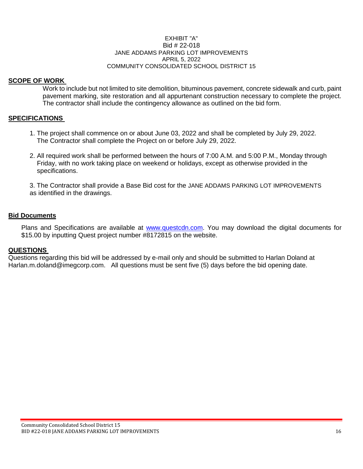#### EXHIBIT "A" Bid # 22-018 JANE ADDAMS PARKING LOT IMPROVEMENTS APRIL 5, 2022 COMMUNITY CONSOLIDATED SCHOOL DISTRICT 15

#### **SCOPE OF WORK**

Work to include but not limited to site demolition, bituminous pavement, concrete sidewalk and curb, paint pavement marking, site restoration and all appurtenant construction necessary to complete the project. The contractor shall include the contingency allowance as outlined on the bid form.

#### **SPECIFICATIONS**

- 1. The project shall commence on or about June 03, 2022 and shall be completed by July 29, 2022. The Contractor shall complete the Project on or before July 29, 2022.
- 2. All required work shall be performed between the hours of 7:00 A.M. and 5:00 P.M., Monday through Friday, with no work taking place on weekend or holidays, except as otherwise provided in the specifications.

3. The Contractor shall provide a Base Bid cost for the JANE ADDAMS PARKING LOT IMPROVEMENTS as identified in the drawings.

#### **Bid Documents**

Plans and Specifications are available at [www.questcdn.com.](http://www.questcdn.com/) You may download the digital documents for \$15.00 by inputting Quest project number #8172815 on the website.

#### **QUESTIONS**

Questions regarding this bid will be addressed by e-mail only and should be submitted to Harlan Doland at Harlan.m.doland@imegcorp.com. All questions must be sent five (5) days before the bid opening date.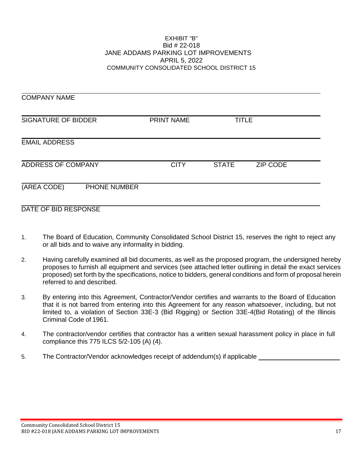#### EXHIBIT "B" Bid # 22-018 JANE ADDAMS PARKING LOT IMPROVEMENTS APRIL 5, 2022 COMMUNITY CONSOLIDATED SCHOOL DISTRICT 15

| <b>COMPANY NAME</b>         |             |                                 |  |
|-----------------------------|-------------|---------------------------------|--|
| <b>SIGNATURE OF BIDDER</b>  | PRINT NAME  | <b>TITLE</b>                    |  |
| <b>EMAIL ADDRESS</b>        |             |                                 |  |
| ADDRESS OF COMPANY          | <b>CITY</b> | <b>ZIP CODE</b><br><b>STATE</b> |  |
| (AREA CODE)<br>PHONE NUMBER |             |                                 |  |

#### DATE OF BID RESPONSE

- 1. The Board of Education, Community Consolidated School District 15, reserves the right to reject any or all bids and to waive any informality in bidding.
- 2. Having carefully examined all bid documents, as well as the proposed program, the undersigned hereby proposes to furnish all equipment and services (see attached letter outlining in detail the exact services proposed) set forth by the specifications, notice to bidders, general conditions and form of proposal herein referred to and described.
- 3. By entering into this Agreement, Contractor/Vendor certifies and warrants to the Board of Education that it is not barred from entering into this Agreement for any reason whatsoever, including, but not limited to, a violation of Section 33E-3 (Bid Rigging) or Section 33E-4(Bid Rotating) of the Illinois Criminal Code of 1961.
- 4. The contractor/vendor certifies that contractor has a written sexual harassment policy in place in full compliance this 775 ILCS 5/2-105 (A) (4).
- 5. The Contractor/Vendor acknowledges receipt of addendum(s) if applicable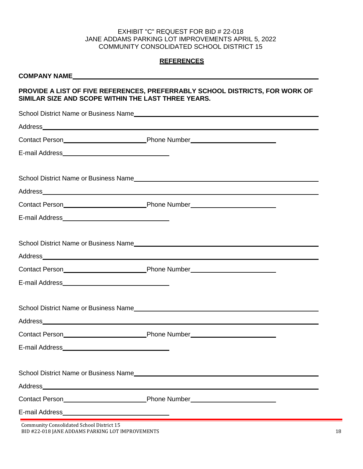#### EXHIBIT "C" REQUEST FOR BID # 22-018 JANE ADDAMS PARKING LOT IMPROVEMENTS APRIL 5, 2022 COMMUNITY CONSOLIDATED SCHOOL DISTRICT 15

#### **REFERENCES**

## **COMPANY NAME PROVIDE A LIST OF FIVE REFERENCES, PREFERRABLY SCHOOL DISTRICTS, FOR WORK OF SIMILAR SIZE AND SCOPE WITHIN THE LAST THREE YEARS.**

|                                              | School District Name or Business Name |
|----------------------------------------------|---------------------------------------|
|                                              |                                       |
|                                              |                                       |
|                                              |                                       |
|                                              |                                       |
|                                              |                                       |
|                                              |                                       |
|                                              |                                       |
|                                              |                                       |
|                                              |                                       |
|                                              |                                       |
|                                              |                                       |
|                                              |                                       |
|                                              |                                       |
|                                              |                                       |
|                                              |                                       |
| <b>School District Name or Business Name</b> |                                       |
|                                              |                                       |
|                                              |                                       |
| E-mail Address                               |                                       |
| Community Consolidated School District 15    |                                       |

BID #22-018 JANE ADDAMS PARKING LOT IMPROVEMENTS 18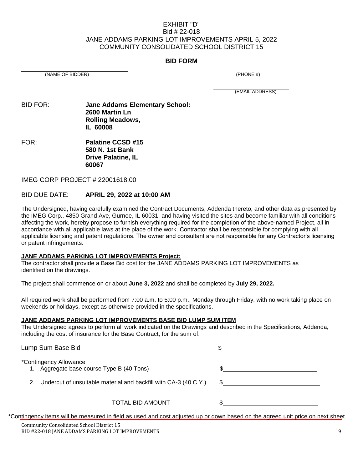#### EXHIBIT "D" Bid # 22-018 JANE ADDAMS PARKING LOT IMPROVEMENTS APRIL 5, 2022 COMMUNITY CONSOLIDATED SCHOOL DISTRICT 15

#### **BID FORM**

(NAME OF BIDDER) (PHONE #)

.

(EMAIL ADDRESS)

BID FOR: **Jane Addams Elementary School: 2600 Martin Ln Rolling Meadows, IL 60008**

FOR: **Palatine CCSD #15 580 N. 1st Bank Drive Palatine, IL 60067**

IMEG CORP PROJECT # 22001618.00

#### BID DUE DATE: **APRIL 29, 2022 at 10:00 AM**

The Undersigned, having carefully examined the Contract Documents, Addenda thereto, and other data as presented by the IMEG Corp., 4850 Grand Ave, Gurnee, IL 60031, and having visited the sites and become familiar with all conditions affecting the work, hereby propose to furnish everything required for the completion of the above-named Project, all in accordance with all applicable laws at the place of the work. Contractor shall be responsible for complying with all applicable licensing and patent regulations. The owner and consultant are not responsible for any Contractor's licensing or patent infringements.

#### **JANE ADDAMS PARKING LOT IMPROVEMENTS Project:**

The contractor shall provide a Base Bid cost for the JANE ADDAMS PARKING LOT IMPROVEMENTS as identified on the drawings.

The project shall commence on or about **June 3, 2022** and shall be completed by **July 29, 2022.**

All required work shall be performed from 7:00 a.m. to 5:00 p.m., Monday through Friday, with no work taking place on weekends or holidays, except as otherwise provided in the specifications.

#### **JANE ADDAMS PARKING LOT IMPROVEMENTS BASE BID LUMP SUM ITEM**

The Undersigned agrees to perform all work indicated on the Drawings and described in the Specifications, Addenda, including the cost of insurance for the Base Contract, for the sum of:

| Lump Sum Base Bid                                                   |  |
|---------------------------------------------------------------------|--|
| *Contingency Allowance<br>1. Aggregate base course Type B (40 Tons) |  |
| 2. Undercut of unsuitable material and backfill with CA-3 (40 C.Y.) |  |
| <b>TOTAL BID AMOUNT</b>                                             |  |

\*Contingency items will be measured in field as used and cost adjusted up or down based on the agreed unit price on next sheet.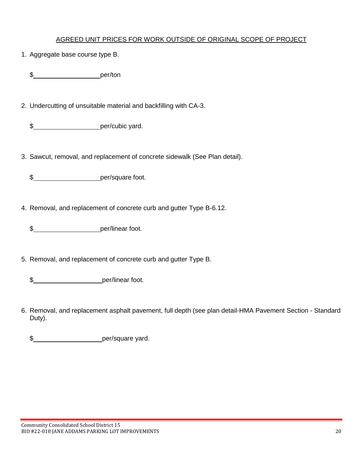#### AGREED UNIT PRICES FOR WORK OUTSIDE OF ORIGINAL SCOPE OF PROJECT

1. Aggregate base course type B.

\$\_\_\_\_\_\_\_\_\_\_\_\_\_\_\_\_\_\_\_\_\_\_\_\_\_\_\_\_per/ton

2. Undercutting of unsuitable material and backfilling with CA-3.

\$\_\_\_\_\_\_\_\_\_\_\_\_\_\_\_\_\_\_\_\_\_\_\_per/cubic yard.

3. Sawcut, removal, and replacement of concrete sidewalk (See Plan detail).

\$ per/square foot.

4. Removal, and replacement of concrete curb and gutter Type B-6.12.

\$ per/linear foot.

5. Removal, and replacement of concrete curb and gutter Type B.

\$ per/linear foot.

6. Removal, and replacement asphalt pavement, full depth (see plan detail-HMA Pavement Section - Standard Duty).

\$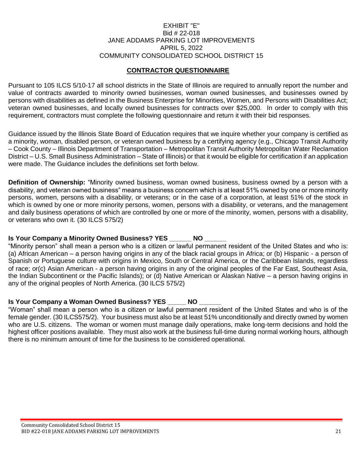#### EXHIBIT "E" Bid # 22-018 JANE ADDAMS PARKING LOT IMPROVEMENTS APRIL 5, 2022 COMMUNITY CONSOLIDATED SCHOOL DISTRICT 15

#### **CONTRACTOR QUESTIONNAIRE**

Pursuant to 105 ILCS 5/10-17 all school districts in the State of Illinois are required to annually report the number and value of contracts awarded to minority owned businesses, woman owned businesses, and businesses owned by persons with disabilities as defined in the Business Enterprise for Minorities, Women, and Persons with Disabilities Act; veteran owned businesses, and locally owned businesses for contracts over \$25,000. In order to comply with this requirement, contractors must complete the following questionnaire and return it with their bid responses.

Guidance issued by the Illinois State Board of Education requires that we inquire whether your company is certified as a minority, woman, disabled person, or veteran owned business by a certifying agency (e.g., Chicago Transit Authority – Cook County – Illinois Department of Transportation – Metropolitan Transit Authority Metropolitan Water Reclamation District – U.S. Small Business Administration – State of Illinois) or that it would be eligible for certification if an application were made. The Guidance includes the definitions set forth below.

**Definition of Ownership:** "Minority owned business, woman owned business, business owned by a person with a disability, and veteran owned business" means a business concern which is at least 51% owned by one or more minority persons, women, persons with a disability, or veterans; or in the case of a corporation, at least 51% of the stock in which is owned by one or more minority persons, women, persons with a disability, or veterans, and the management and daily business operations of which are controlled by one or more of the minority, women, persons with a disability, or veterans who own it. (30 ILCS 575/2)

#### **Is Your Company a Minority Owned Business? YES \_\_\_\_\_\_ NO**

"Minority person" shall mean a person who is a citizen or lawful permanent resident of the United States and who is: (a) African American – a person having origins in any of the black racial groups in Africa; or (b) Hispanic - a person of Spanish or Portuguese culture with origins in Mexico, South or Central America, or the Caribbean Islands, regardless of race; or(c) Asian American - a person having origins in any of the original peoples of the Far East, Southeast Asia, the Indian Subcontinent or the Pacific Islands); or (d) Native American or Alaskan Native – a person having origins in any of the original peoples of North America. (30 ILCS 575/2)

#### **Is Your Company a Woman Owned Business? YES \_\_\_\_\_ NO**

"Woman" shall mean a person who is a citizen or lawful permanent resident of the United States and who is of the female gender. (30 ILCS575/2). Your business must also be at least 51% unconditionally and directly owned by women who are U.S. citizens. The woman or women must manage daily operations, make long-term decisions and hold the highest officer positions available. They must also work at the business full-time during normal working hours, although there is no minimum amount of time for the business to be considered operational.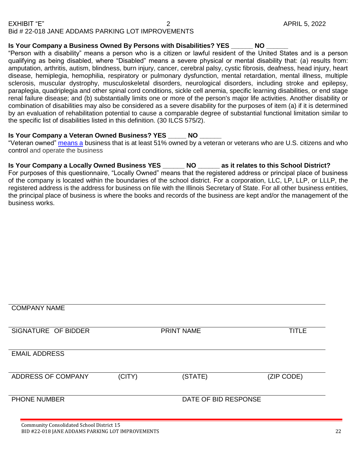#### **Is Your Company a Business Owned By Persons with Disabilities? YES \_\_\_\_\_\_ NO \_\_\_\_\_\_**

"Person with a disability" means a person who is a citizen or lawful resident of the United States and is a person qualifying as being disabled, where "Disabled" means a severe physical or mental disability that: (a) results from: amputation, arthritis, autism, blindness, burn injury, cancer, cerebral palsy, cystic fibrosis, deafness, head injury, heart disease, hemiplegia, hemophilia, respiratory or pulmonary dysfunction, mental retardation, mental illness, multiple sclerosis, muscular dystrophy, musculoskeletal disorders, neurological disorders, including stroke and epilepsy, paraplegia, quadriplegia and other spinal cord conditions, sickle cell anemia, specific learning disabilities, or end stage renal failure disease; and (b) substantially limits one or more of the person's major life activities. Another disability or combination of disabilities may also be considered as a severe disability for the purposes of item (a) if it is determined by an evaluation of rehabilitation potential to cause a comparable degree of substantial functional limitation similar to the specific list of disabilities listed in this definition. (30 ILCS 575/2).

#### **Is Your Company a Veteran Owned Business? YES NO**

"Veteran owned" [means a](https://www.lawinsider.com/dictionary/locally-owned-enterprise) business that is at least 51% owned by a veteran or veterans who are U.S. citizens and who control and operate the business

**Is Your Company a Locally Owned Business YES \_\_\_\_\_\_ NO \_\_\_\_\_\_ as it relates to this School District?**

For purposes of this questionnaire, "Locally Owned" means that the registered address or principal place of business of the company is located within the boundaries of the school district. For a corporation, LLC, LP, LLP, or LLLP, the registered address is the address for business on file with the Illinois Secretary of State. For all other business entities, the principal place of business is where the books and records of the business are kept and/or the management of the business works.

| <b>COMPANY NAME</b>                       |        |                      |              |
|-------------------------------------------|--------|----------------------|--------------|
| SIGNATURE OF BIDDER                       |        | <b>PRINT NAME</b>    | <b>TITLE</b> |
| <b>EMAIL ADDRESS</b>                      |        |                      |              |
| ADDRESS OF COMPANY                        | (CITY) | (STATE)              | (ZIP CODE)   |
| PHONE NUMBER                              |        | DATE OF BID RESPONSE |              |
| Community Consolidated School District 15 |        |                      |              |

BID #22-018 JANE ADDAMS PARKING LOT IMPROVEMENTS 22